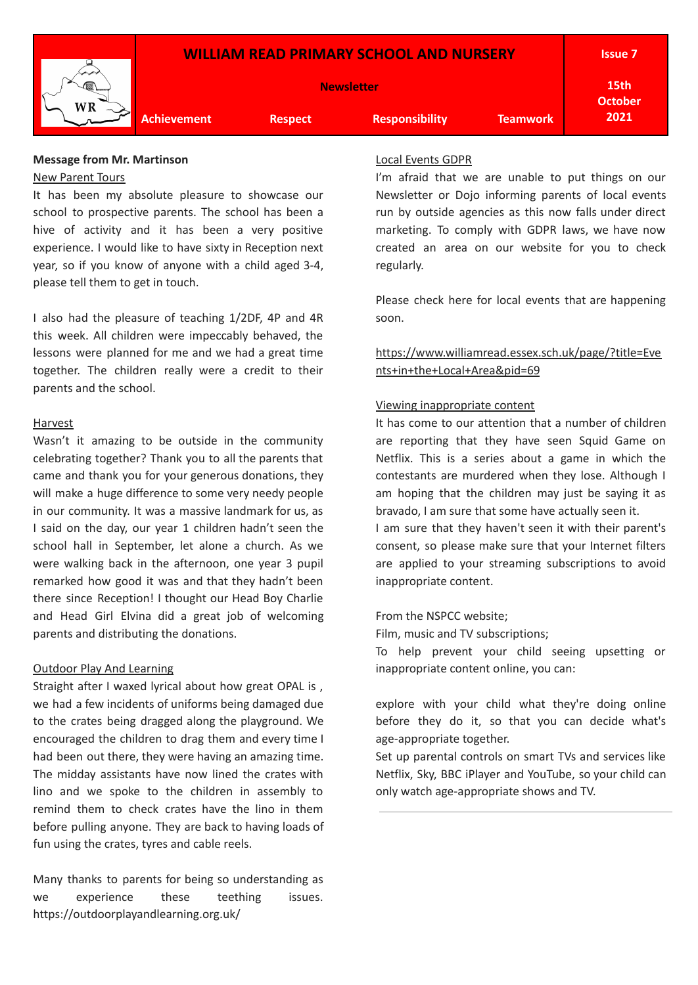

#### **Message from Mr. Martinson** New Parent Tours

It has been my absolute pleasure to showcase our school to prospective parents. The school has been a hive of activity and it has been a very positive experience. I would like to have sixty in Reception next year, so if you know of anyone with a child aged 3-4, please tell them to get in touch.

I also had the pleasure of teaching 1/2DF, 4P and 4R this week. All children were impeccably behaved, the lessons were planned for me and we had a great time together. The children really were a credit to their parents and the school.

#### Harvest

Wasn't it amazing to be outside in the community celebrating together? Thank you to all the parents that came and thank you for your generous donations, they will make a huge difference to some very needy people in our community. It was a massive landmark for us, as I said on the day, our year 1 children hadn't seen the school hall in September, let alone a church. As we were walking back in the afternoon, one year 3 pupil remarked how good it was and that they hadn't been there since Reception! I thought our Head Boy Charlie and Head Girl Elvina did a great job of welcoming parents and distributing the donations.

#### Outdoor Play And Learning

Straight after I waxed lyrical about how great OPAL is , we had a few incidents of uniforms being damaged due to the crates being dragged along the playground. We encouraged the children to drag them and every time I had been out there, they were having an amazing time. The midday assistants have now lined the crates with lino and we spoke to the children in assembly to remind them to check crates have the lino in them before pulling anyone. They are back to having loads of fun using the crates, tyres and cable reels.

Many thanks to parents for being so understanding as we experience these teething issues. https://outdoorplayandlearning.org.uk/

## Local Events GDPR

I'm afraid that we are unable to put things on our Newsletter or Dojo informing parents of local events run by outside agencies as this now falls under direct marketing. To comply with GDPR laws, we have now created an area on our website for you to check regularly.

Please check here for local events that are happening soon.

# [https://www.williamread.essex.sch.uk/page/?title=Eve](https://www.williamread.essex.sch.uk/page/?title=Events+in+the+Local+Area&pid=69) [nts+in+the+Local+Area&pid=69](https://www.williamread.essex.sch.uk/page/?title=Events+in+the+Local+Area&pid=69)

#### Viewing inappropriate content

It has come to our attention that a number of children are reporting that they have seen Squid Game on Netflix. This is a series about a game in which the contestants are murdered when they lose. Although I am hoping that the children may just be saying it as bravado, I am sure that some have actually seen it.

I am sure that they haven't seen it with their parent's consent, so please make sure that your Internet filters are applied to your streaming subscriptions to avoid inappropriate content.

#### From the NSPCC website;

Film, music and TV subscriptions;

To help prevent your child seeing upsetting or inappropriate content online, you can:

explore with your child what they're doing online before they do it, so that you can decide what's age-appropriate together.

Set up parental controls on smart TVs and services like Netflix, Sky, BBC iPlayer and YouTube, so your child can only watch age-appropriate shows and TV.